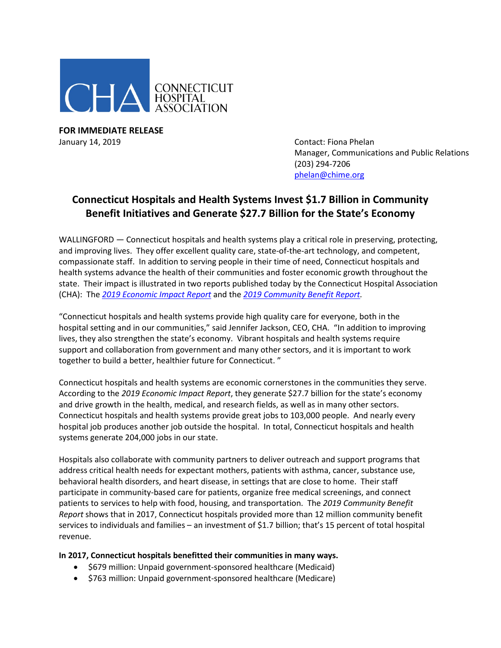

**FOR IMMEDIATE RELEASE** January 14, 2019 **Contact: Fiona Phelan** 

Manager, Communications and Public Relations (203) 294-7206 [phelan@chime.org](mailto:phelan@chime.org)

## **Connecticut Hospitals and Health Systems Invest \$1.7 Billion in Community Benefit Initiatives and Generate \$27.7 Billion for the State's Economy**

WALLINGFORD — Connecticut hospitals and health systems play a critical role in preserving, protecting, and improving lives. They offer excellent quality care, state-of-the-art technology, and competent, compassionate staff. In addition to serving people in their time of need, Connecticut hospitals and health systems advance the health of their communities and foster economic growth throughout the state. Their impact is illustrated in two reports published today by the Connecticut Hospital Association (CHA): The *[2019 Economic Impact Report](https://documents.cthosp.org/9/2019%20EIR%20FINAL%20spreads%20(1).pdf)* and the *[2019 Community Benefit Report.](https://documents.cthosp.org/9/2019%20CBR%20FINAL%20spreads.pdf)*

"Connecticut hospitals and health systems provide high quality care for everyone, both in the hospital setting and in our communities," said Jennifer Jackson, CEO, CHA. "In addition to improving lives, they also strengthen the state's economy. Vibrant hospitals and health systems require support and collaboration from government and many other sectors, and it is important to work together to build a better, healthier future for Connecticut. "

Connecticut hospitals and health systems are economic cornerstones in the communities they serve. According to the *2019 Economic Impact Report*, they generate \$27.7 billion for the state's economy and drive growth in the health, medical, and research fields, as well as in many other sectors. Connecticut hospitals and health systems provide great jobs to 103,000 people. And nearly every hospital job produces another job outside the hospital. In total, Connecticut hospitals and health systems generate 204,000 jobs in our state.

Hospitals also collaborate with community partners to deliver outreach and support programs that address critical health needs for expectant mothers, patients with asthma, cancer, substance use, behavioral health disorders, and heart disease, in settings that are close to home. Their staff participate in community-based care for patients, organize free medical screenings, and connect patients to services to help with food, housing, and transportation. The *2019 Community Benefit Report* shows that in 2017, Connecticut hospitals provided more than 12 million community benefit services to individuals and families – an investment of \$1.7 billion; that's 15 percent of total hospital revenue.

## **In 2017, Connecticut hospitals benefitted their communities in many ways.**

- \$679 million: Unpaid government-sponsored healthcare (Medicaid)
- \$763 million: Unpaid government-sponsored healthcare (Medicare)